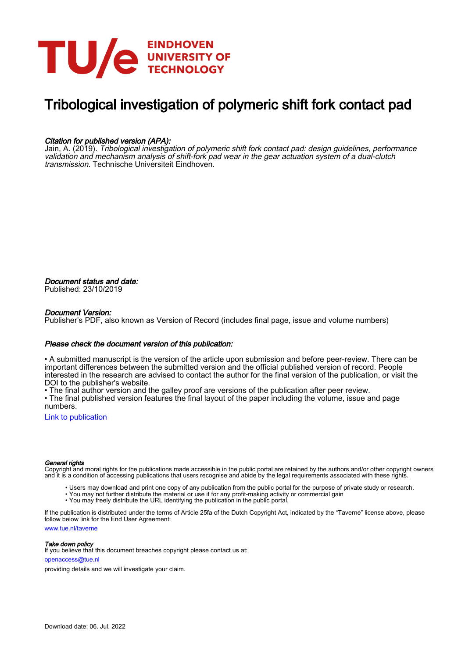

## Tribological investigation of polymeric shift fork contact pad

#### Citation for published version (APA):

Jain, A. (2019). Tribological investigation of polymeric shift fork contact pad: design guidelines, performance validation and mechanism analysis of shift-fork pad wear in the gear actuation system of a dual-clutch transmission. Technische Universiteit Eindhoven.

Document status and date: Published: 23/10/2019

#### Document Version:

Publisher's PDF, also known as Version of Record (includes final page, issue and volume numbers)

#### Please check the document version of this publication:

• A submitted manuscript is the version of the article upon submission and before peer-review. There can be important differences between the submitted version and the official published version of record. People interested in the research are advised to contact the author for the final version of the publication, or visit the DOI to the publisher's website.

• The final author version and the galley proof are versions of the publication after peer review.

• The final published version features the final layout of the paper including the volume, issue and page numbers.

[Link to publication](https://research.tue.nl/en/publications/7b5f0843-487b-4fc7-bff3-e7cc6a937fe0)

#### General rights

Copyright and moral rights for the publications made accessible in the public portal are retained by the authors and/or other copyright owners and it is a condition of accessing publications that users recognise and abide by the legal requirements associated with these rights.

- Users may download and print one copy of any publication from the public portal for the purpose of private study or research.
- You may not further distribute the material or use it for any profit-making activity or commercial gain
- You may freely distribute the URL identifying the publication in the public portal.

If the publication is distributed under the terms of Article 25fa of the Dutch Copyright Act, indicated by the "Taverne" license above, please follow below link for the End User Agreement:

www.tue.nl/taverne

**Take down policy**<br>If you believe that this document breaches copyright please contact us at:

openaccess@tue.nl

providing details and we will investigate your claim.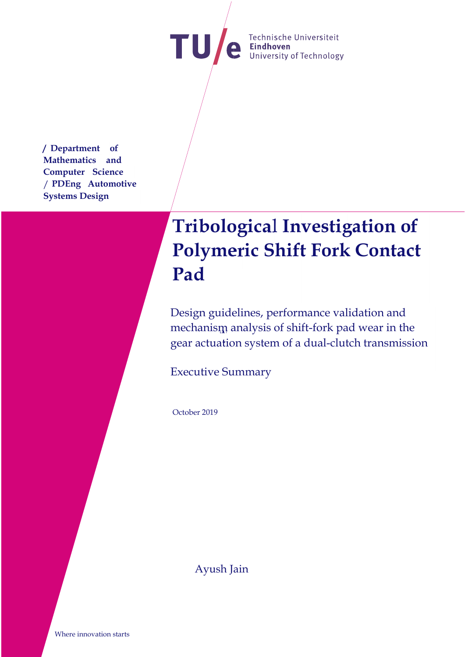Technische Universiteit<br>
Eindhoven<br>
University of Technology TU/

/ Department of Mathematics and Computer Science / PDEng Automotive Systems Design

# Tribological Investigation of Polymeric Shift Fork Contact Pad

Design guidelines, performance validation and mechanism analysis of shift-fork pad wear in the gear actuation system of a dual-clutch transmission

Executive Summary

October 2019

Ayush Jain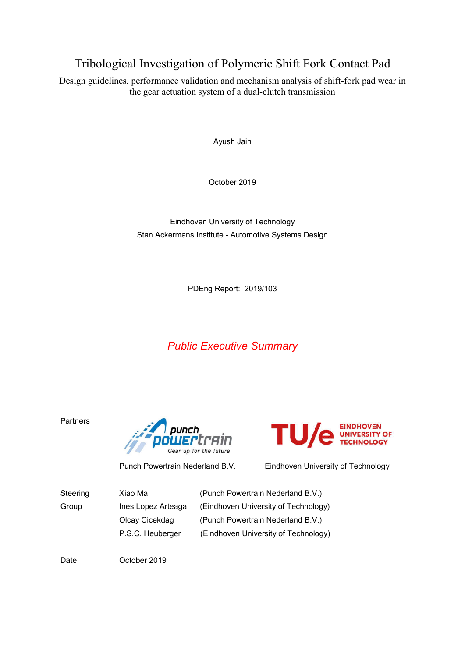## Tribological Investigation of Polymeric Shift Fork Contact Pad

Design guidelines, performance validation and mechanism analysis of shift-fork pad wear in the gear actuation system of a dual-clutch transmission

Ayush Jain

October 2019

Eindhoven University of Technology Stan Ackermans Institute - Automotive Systems Design

PDEng Report: 2019/103

*Public Executive Summary*





Punch Powertrain Nederland B.V. Eindhoven University of Technology

| Steering | Xiao Ma            | (Punch Powertrain Nederland B.V.)    |
|----------|--------------------|--------------------------------------|
| Group    | Ines Lopez Arteaga | (Eindhoven University of Technology) |
|          | Olcay Cicekdag     | (Punch Powertrain Nederland B.V.)    |
|          | P.S.C. Heuberger   | (Eindhoven University of Technology) |
|          |                    |                                      |

Date **October 2019** 

Partners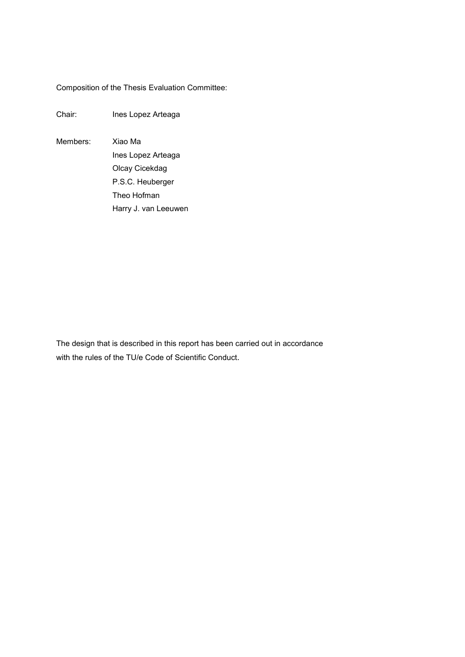Composition of the Thesis Evaluation Committee:

Chair: Ines Lopez Arteaga

Members: Xiao Ma Ines Lopez Arteaga Olcay Cicekdag P.S.C. Heuberger Theo Hofman Harry J. van Leeuwen

The design that is described in this report has been carried out in accordance with the rules of the TU/e Code of Scientific Conduct.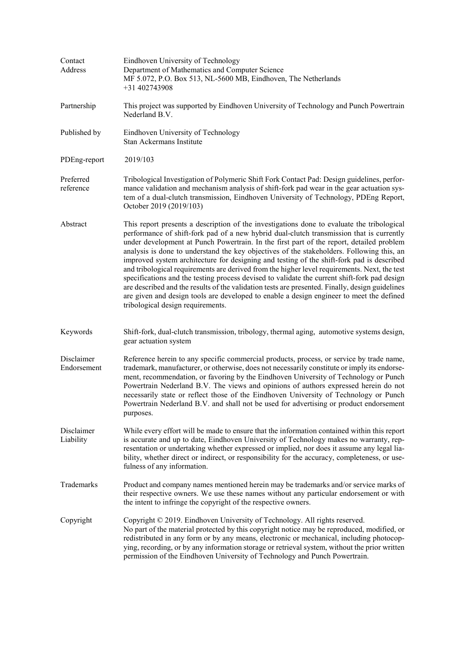| Contact<br>Address        | Eindhoven University of Technology<br>Department of Mathematics and Computer Science<br>MF 5.072, P.O. Box 513, NL-5600 MB, Eindhoven, The Netherlands<br>+31 402743908                                                                                                                                                                                                                                                                                                                                                                                                                                                                                                                                                                                                                                                                                                                                          |
|---------------------------|------------------------------------------------------------------------------------------------------------------------------------------------------------------------------------------------------------------------------------------------------------------------------------------------------------------------------------------------------------------------------------------------------------------------------------------------------------------------------------------------------------------------------------------------------------------------------------------------------------------------------------------------------------------------------------------------------------------------------------------------------------------------------------------------------------------------------------------------------------------------------------------------------------------|
| Partnership               | This project was supported by Eindhoven University of Technology and Punch Powertrain<br>Nederland B.V.                                                                                                                                                                                                                                                                                                                                                                                                                                                                                                                                                                                                                                                                                                                                                                                                          |
| Published by              | Eindhoven University of Technology<br>Stan Ackermans Institute                                                                                                                                                                                                                                                                                                                                                                                                                                                                                                                                                                                                                                                                                                                                                                                                                                                   |
| PDEng-report              | 2019/103                                                                                                                                                                                                                                                                                                                                                                                                                                                                                                                                                                                                                                                                                                                                                                                                                                                                                                         |
| Preferred<br>reference    | Tribological Investigation of Polymeric Shift Fork Contact Pad: Design guidelines, perfor-<br>mance validation and mechanism analysis of shift-fork pad wear in the gear actuation sys-<br>tem of a dual-clutch transmission, Eindhoven University of Technology, PDEng Report,<br>October 2019 (2019/103)                                                                                                                                                                                                                                                                                                                                                                                                                                                                                                                                                                                                       |
| Abstract                  | This report presents a description of the investigations done to evaluate the tribological<br>performance of shift-fork pad of a new hybrid dual-clutch transmission that is currently<br>under development at Punch Powertrain. In the first part of the report, detailed problem<br>analysis is done to understand the key objectives of the stakeholders. Following this, an<br>improved system architecture for designing and testing of the shift-fork pad is described<br>and tribological requirements are derived from the higher level requirements. Next, the test<br>specifications and the testing process devised to validate the current shift-fork pad design<br>are described and the results of the validation tests are presented. Finally, design guidelines<br>are given and design tools are developed to enable a design engineer to meet the defined<br>tribological design requirements. |
| Keywords                  | Shift-fork, dual-clutch transmission, tribology, thermal aging, automotive systems design,<br>gear actuation system                                                                                                                                                                                                                                                                                                                                                                                                                                                                                                                                                                                                                                                                                                                                                                                              |
| Disclaimer<br>Endorsement | Reference herein to any specific commercial products, process, or service by trade name,<br>trademark, manufacturer, or otherwise, does not necessarily constitute or imply its endorse-<br>ment, recommendation, or favoring by the Eindhoven University of Technology or Punch<br>Powertrain Nederland B.V. The views and opinions of authors expressed herein do not<br>necessarily state or reflect those of the Eindhoven University of Technology or Punch<br>Powertrain Nederland B.V. and shall not be used for advertising or product endorsement<br>purposes.                                                                                                                                                                                                                                                                                                                                          |
| Disclaimer<br>Liability   | While every effort will be made to ensure that the information contained within this report<br>is accurate and up to date, Eindhoven University of Technology makes no warranty, rep-<br>resentation or undertaking whether expressed or implied, nor does it assume any legal lia-<br>bility, whether direct or indirect, or responsibility for the accuracy, completeness, or use-<br>fulness of any information.                                                                                                                                                                                                                                                                                                                                                                                                                                                                                              |
| Trademarks                | Product and company names mentioned herein may be trademarks and/or service marks of<br>their respective owners. We use these names without any particular endorsement or with<br>the intent to infringe the copyright of the respective owners.                                                                                                                                                                                                                                                                                                                                                                                                                                                                                                                                                                                                                                                                 |
| Copyright                 | Copyright © 2019. Eindhoven University of Technology. All rights reserved.<br>No part of the material protected by this copyright notice may be reproduced, modified, or<br>redistributed in any form or by any means, electronic or mechanical, including photocop-<br>ying, recording, or by any information storage or retrieval system, without the prior written<br>permission of the Eindhoven University of Technology and Punch Powertrain.                                                                                                                                                                                                                                                                                                                                                                                                                                                              |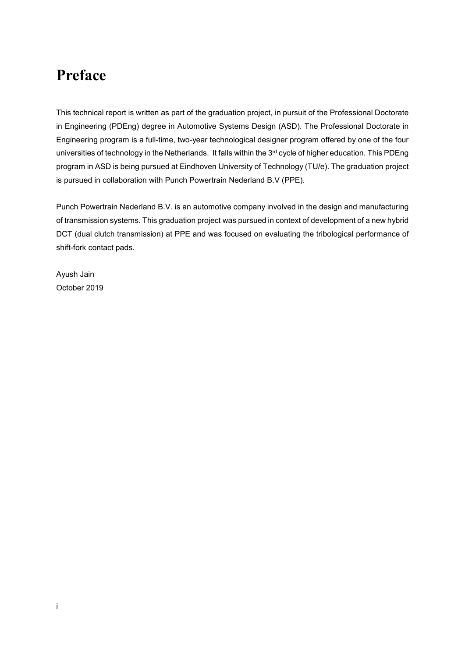## Preface

This technical report is written as part of the graduation project, in pursuit of the Professional Doctorate in Engineering (PDEng) degree in Automotive Systems Design (ASD). The Professional Doctorate in Engineering program is a full-time, two-year technological designer program offered by one of the four universities of technology in the Netherlands. It falls within the 3<sup>rd</sup> cycle of higher education. This PDEng program in ASD is being pursued at Eindhoven University of Technology (TU/e). The graduation project is pursued in collaboration with Punch Powertrain Nederland B.V (PPE).

Punch Powertrain Nederland B.V. is an automotive company involved in the design and manufacturing of transmission systems. This graduation project was pursued in context of development of a new hybrid DCT (dual clutch transmission) at PPE and was focused on evaluating the tribological performance of shift-fork contact pads.

Ayush Jain October 2019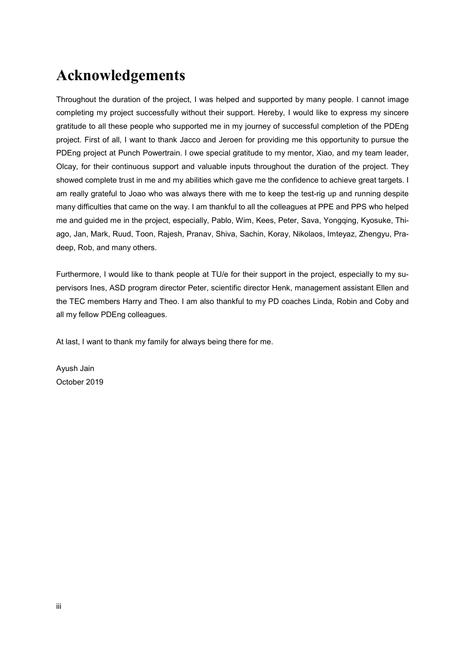## Acknowledgements

Throughout the duration of the project, I was helped and supported by many people. I cannot image completing my project successfully without their support. Hereby, I would like to express my sincere gratitude to all these people who supported me in my journey of successful completion of the PDEng project. First of all, I want to thank Jacco and Jeroen for providing me this opportunity to pursue the PDEng project at Punch Powertrain. I owe special gratitude to my mentor, Xiao, and my team leader, Olcay, for their continuous support and valuable inputs throughout the duration of the project. They showed complete trust in me and my abilities which gave me the confidence to achieve great targets. I am really grateful to Joao who was always there with me to keep the test-rig up and running despite many difficulties that came on the way. I am thankful to all the colleagues at PPE and PPS who helped me and guided me in the project, especially, Pablo, Wim, Kees, Peter, Sava, Yongqing, Kyosuke, Thiago, Jan, Mark, Ruud, Toon, Rajesh, Pranav, Shiva, Sachin, Koray, Nikolaos, Imteyaz, Zhengyu, Pradeep, Rob, and many others.

Furthermore, I would like to thank people at TU/e for their support in the project, especially to my supervisors Ines, ASD program director Peter, scientific director Henk, management assistant Ellen and the TEC members Harry and Theo. I am also thankful to my PD coaches Linda, Robin and Coby and all my fellow PDEng colleagues.

At last, I want to thank my family for always being there for me.

Ayush Jain October 2019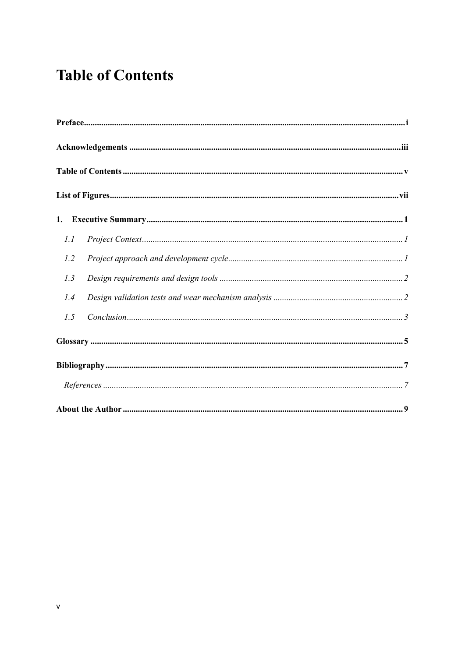## **Table of Contents**

| 1.1 |  |  |
|-----|--|--|
| 1.2 |  |  |
| 1.3 |  |  |
| 1.4 |  |  |
| 1.5 |  |  |
|     |  |  |
|     |  |  |
|     |  |  |
|     |  |  |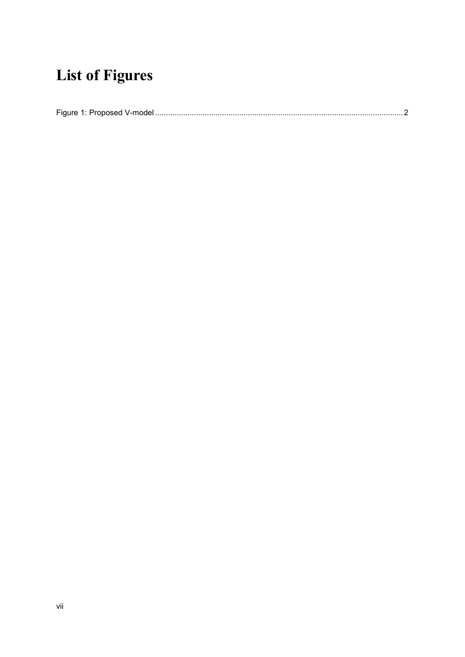# **List of Figures**

|--|--|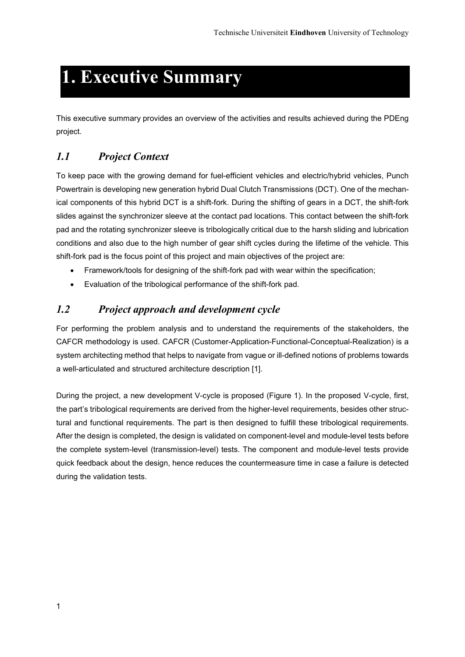# 1. Executive Summary

This executive summary provides an overview of the activities and results achieved during the PDEng project.

#### *1.1 Project Context*

To keep pace with the growing demand for fuel-efficient vehicles and electric/hybrid vehicles, Punch Powertrain is developing new generation hybrid Dual Clutch Transmissions (DCT). One of the mechanical components of this hybrid DCT is a shift-fork. During the shifting of gears in a DCT, the shift-fork slides against the synchronizer sleeve at the contact pad locations. This contact between the shift-fork pad and the rotating synchronizer sleeve is tribologically critical due to the harsh sliding and lubrication conditions and also due to the high number of gear shift cycles during the lifetime of the vehicle. This shift-fork pad is the focus point of this project and main objectives of the project are:

- Framework/tools for designing of the shift-fork pad with wear within the specification;
- Evaluation of the tribological performance of the shift-fork pad.

#### *1.2 Project approach and development cycle*

For performing the problem analysis and to understand the requirements of the stakeholders, the CAFCR methodology is used. CAFCR (Customer-Application-Functional-Conceptual-Realization) is a system architecting method that helps to navigate from vague or ill-defined notions of problems towards a well-articulated and structured architecture description [1].

During the project, a new development V-cycle is proposed (Figure 1). In the proposed V-cycle, first, the part's tribological requirements are derived from the higher-level requirements, besides other structural and functional requirements. The part is then designed to fulfill these tribological requirements. After the design is completed, the design is validated on component-level and module-level tests before the complete system-level (transmission-level) tests. The component and module-level tests provide quick feedback about the design, hence reduces the countermeasure time in case a failure is detected during the validation tests.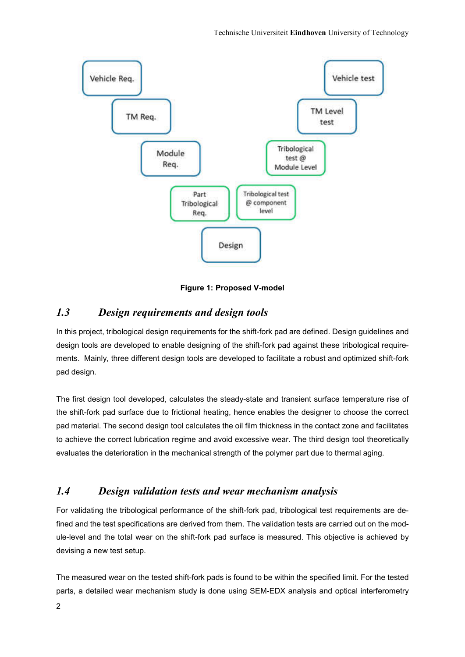

Figure 1: Proposed V-model

#### *1.3 Design requirements and design tools*

In this project, tribological design requirements for the shift-fork pad are defined. Design guidelines and design tools are developed to enable designing of the shift-fork pad against these tribological requirements. Mainly, three different design tools are developed to facilitate a robust and optimized shift-fork pad design.

The first design tool developed, calculates the steady-state and transient surface temperature rise of the shift-fork pad surface due to frictional heating, hence enables the designer to choose the correct pad material. The second design tool calculates the oil film thickness in the contact zone and facilitates to achieve the correct lubrication regime and avoid excessive wear. The third design tool theoretically evaluates the deterioration in the mechanical strength of the polymer part due to thermal aging.

#### *1.4 Design validation tests and wear mechanism analysis*

For validating the tribological performance of the shift-fork pad, tribological test requirements are defined and the test specifications are derived from them. The validation tests are carried out on the module-level and the total wear on the shift-fork pad surface is measured. This objective is achieved by devising a new test setup.

The measured wear on the tested shift-fork pads is found to be within the specified limit. For the tested parts, a detailed wear mechanism study is done using SEM-EDX analysis and optical interferometry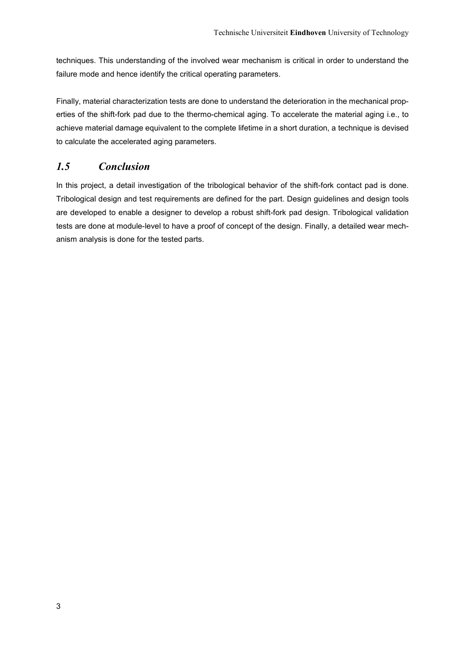techniques. This understanding of the involved wear mechanism is critical in order to understand the failure mode and hence identify the critical operating parameters.

Finally, material characterization tests are done to understand the deterioration in the mechanical properties of the shift-fork pad due to the thermo-chemical aging. To accelerate the material aging i.e., to achieve material damage equivalent to the complete lifetime in a short duration, a technique is devised to calculate the accelerated aging parameters.

#### *1.5 Conclusion*

In this project, a detail investigation of the tribological behavior of the shift-fork contact pad is done. Tribological design and test requirements are defined for the part. Design guidelines and design tools are developed to enable a designer to develop a robust shift-fork pad design. Tribological validation tests are done at module-level to have a proof of concept of the design. Finally, a detailed wear mechanism analysis is done for the tested parts.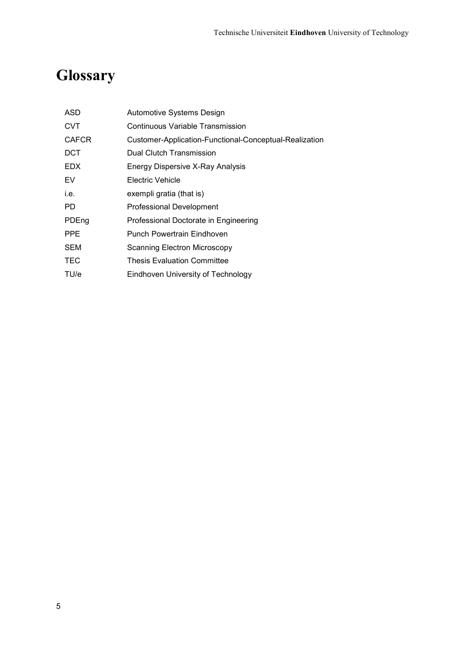## **Glossary**

| ASD          | Automotive Systems Design                              |
|--------------|--------------------------------------------------------|
| <b>CVT</b>   | Continuous Variable Transmission                       |
| <b>CAFCR</b> | Customer-Application-Functional-Conceptual-Realization |
| DCT.         | Dual Clutch Transmission                               |
| <b>EDX</b>   | Energy Dispersive X-Ray Analysis                       |
| EV           | Electric Vehicle                                       |
| i.e.         | exempli gratia (that is)                               |
| PD.          | <b>Professional Development</b>                        |
| PDEng        | Professional Doctorate in Engineering                  |
| <b>PPE</b>   | Punch Powertrain Eindhoven                             |
| <b>SEM</b>   | <b>Scanning Electron Microscopy</b>                    |
| <b>TEC</b>   | <b>Thesis Evaluation Committee</b>                     |
| TU/e         | Eindhoven University of Technology                     |
|              |                                                        |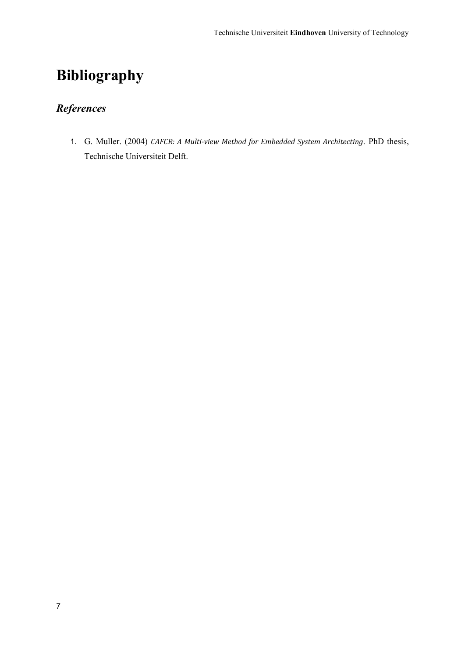## Bibliography

### *References*

1. G. Muller. (2004) *CAFCR: A Multi-view Method for Embedded System Architecting*. PhD thesis, Technische Universiteit Delft.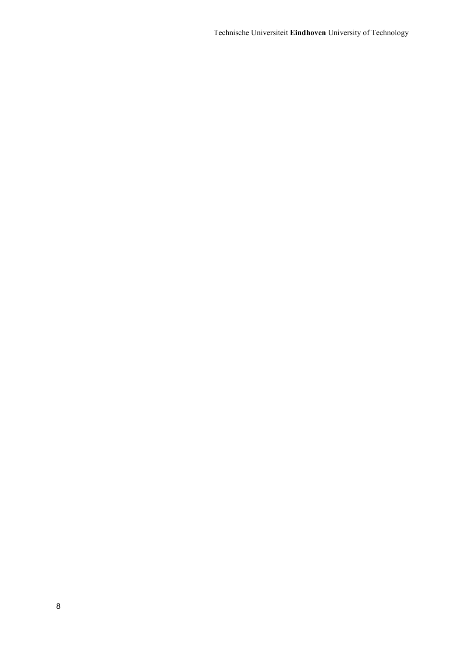Technische Universiteit Eindhoven University of Technology